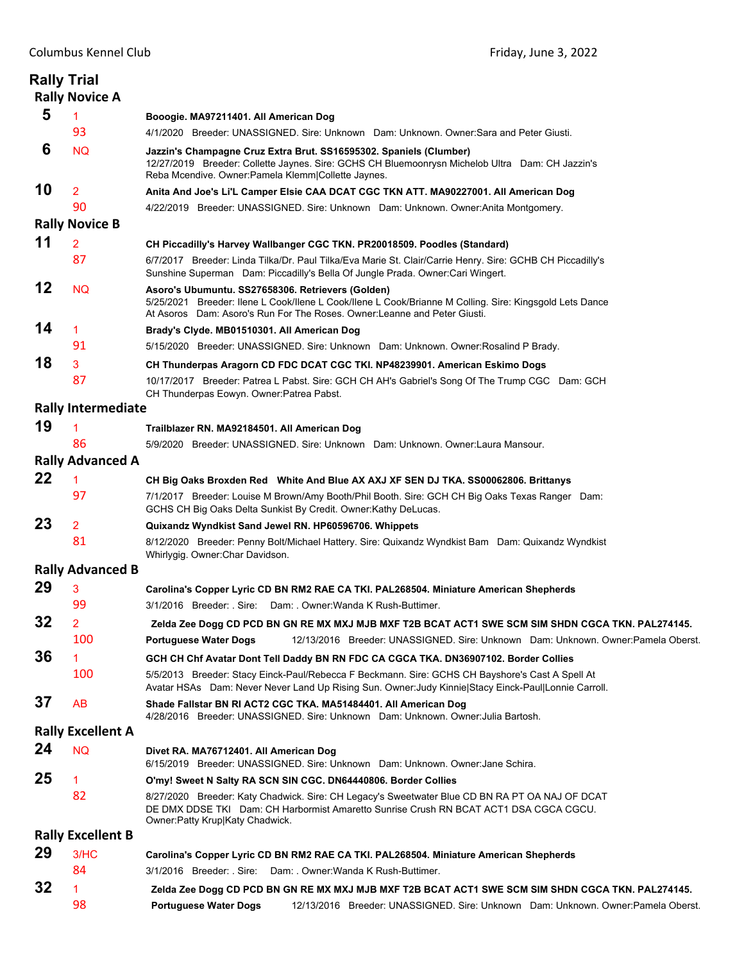|    | <b>Rally Trial</b><br><b>Rally Novice A</b> |                                                                                                                                                                                                                                           |
|----|---------------------------------------------|-------------------------------------------------------------------------------------------------------------------------------------------------------------------------------------------------------------------------------------------|
| 5  | 1                                           | Booogie. MA97211401. All American Dog                                                                                                                                                                                                     |
|    | 93                                          | 4/1/2020 Breeder: UNASSIGNED. Sire: Unknown Dam: Unknown. Owner: Sara and Peter Giusti.                                                                                                                                                   |
| 6  | <b>NQ</b>                                   | Jazzin's Champagne Cruz Extra Brut. SS16595302. Spaniels (Clumber)<br>12/27/2019 Breeder: Collette Jaynes. Sire: GCHS CH Bluemoonrysn Michelob Ultra Dam: CH Jazzin's<br>Reba Mcendive. Owner: Pamela Klemm Collette Jaynes.              |
| 10 | $\overline{2}$                              | Anita And Joe's Li'L Camper Elsie CAA DCAT CGC TKN ATT. MA90227001. All American Dog                                                                                                                                                      |
|    | 90                                          | 4/22/2019 Breeder: UNASSIGNED. Sire: Unknown Dam: Unknown. Owner:Anita Montgomery.                                                                                                                                                        |
|    | <b>Rally Novice B</b>                       |                                                                                                                                                                                                                                           |
| 11 | $\overline{2}$                              | CH Piccadilly's Harvey Wallbanger CGC TKN. PR20018509. Poodles (Standard)                                                                                                                                                                 |
|    | 87                                          | 6/7/2017 Breeder: Linda Tilka/Dr. Paul Tilka/Eva Marie St. Clair/Carrie Henry. Sire: GCHB CH Piccadilly's<br>Sunshine Superman Dam: Piccadilly's Bella Of Jungle Prada. Owner: Cari Wingert.                                              |
| 12 | <b>NQ</b>                                   | Asoro's Ubumuntu. SS27658306. Retrievers (Golden)<br>5/25/2021 Breeder: Ilene L Cook/Ilene L Cook/Ilene L Cook/Brianne M Colling. Sire: Kingsgold Lets Dance<br>At Asoros Dam: Asoro's Run For The Roses. Owner: Leanne and Peter Giusti. |
| 14 | 1                                           | Brady's Clyde. MB01510301. All American Dog                                                                                                                                                                                               |
|    | 91                                          | 5/15/2020 Breeder: UNASSIGNED. Sire: Unknown Dam: Unknown. Owner: Rosalind P Brady.                                                                                                                                                       |
| 18 | 3                                           | CH Thunderpas Aragorn CD FDC DCAT CGC TKI. NP48239901. American Eskimo Dogs                                                                                                                                                               |
|    | 87                                          | 10/17/2017 Breeder: Patrea L Pabst. Sire: GCH CH AH's Gabriel's Song Of The Trump CGC Dam: GCH<br>CH Thunderpas Eowyn. Owner: Patrea Pabst.                                                                                               |
|    | <b>Rally Intermediate</b>                   |                                                                                                                                                                                                                                           |
| 19 | 1                                           | Trailblazer RN. MA92184501. All American Dog                                                                                                                                                                                              |
|    | 86                                          | 5/9/2020 Breeder: UNASSIGNED. Sire: Unknown Dam: Unknown. Owner: Laura Mansour.                                                                                                                                                           |
|    | <b>Rally Advanced A</b>                     |                                                                                                                                                                                                                                           |
| 22 | 1                                           | CH Big Oaks Broxden Red White And Blue AX AXJ XF SEN DJ TKA. SS00062806. Brittanys                                                                                                                                                        |
|    | 97                                          | 7/1/2017 Breeder: Louise M Brown/Amy Booth/Phil Booth. Sire: GCH CH Big Oaks Texas Ranger Dam:<br>GCHS CH Big Oaks Delta Sunkist By Credit. Owner: Kathy DeLucas.                                                                         |
| 23 | $\overline{2}$                              | Quixandz Wyndkist Sand Jewel RN. HP60596706. Whippets                                                                                                                                                                                     |
|    | 81                                          | 8/12/2020 Breeder: Penny Bolt/Michael Hattery. Sire: Quixandz Wyndkist Bam Dam: Quixandz Wyndkist<br>Whirlygig. Owner: Char Davidson.                                                                                                     |
|    | <b>Rally Advanced B</b>                     |                                                                                                                                                                                                                                           |
| 29 | 3                                           | Carolina's Copper Lyric CD BN RM2 RAE CA TKI. PAL268504. Miniature American Shepherds                                                                                                                                                     |
|    | 99                                          | 3/1/2016 Breeder: Sire: Dam: Owner:Wanda K Rush-Buttimer.                                                                                                                                                                                 |
| 32 | $\overline{2}$                              | Zelda Zee Dogg CD PCD BN GN RE MX MXJ MJB MXF T2B BCAT ACT1 SWE SCM SIM SHDN CGCA TKN. PAL274145.                                                                                                                                         |
|    | 100                                         | 12/13/2016 Breeder: UNASSIGNED. Sire: Unknown Dam: Unknown. Owner: Pamela Oberst.<br><b>Portuguese Water Dogs</b>                                                                                                                         |
| 36 | 1                                           | GCH CH Chf Avatar Dont Tell Daddy BN RN FDC CA CGCA TKA. DN36907102. Border Collies                                                                                                                                                       |
|    | 100                                         | 5/5/2013 Breeder: Stacy Einck-Paul/Rebecca F Beckmann. Sire: GCHS CH Bayshore's Cast A Spell At<br>Avatar HSAs Dam: Never Never Land Up Rising Sun. Owner: Judy Kinnie Stacy Einck-Paul Lonnie Carroll.                                   |
| 37 | <b>AB</b>                                   | Shade Fallstar BN RI ACT2 CGC TKA. MA51484401. All American Dog<br>4/28/2016 Breeder: UNASSIGNED. Sire: Unknown Dam: Unknown. Owner: Julia Bartosh.                                                                                       |
|    | <b>Rally Excellent A</b>                    |                                                                                                                                                                                                                                           |
| 24 | <b>NQ</b>                                   | Divet RA. MA76712401. All American Dog<br>6/15/2019 Breeder: UNASSIGNED. Sire: Unknown Dam: Unknown. Owner: Jane Schira.                                                                                                                  |
| 25 | 1                                           | O'my! Sweet N Salty RA SCN SIN CGC. DN64440806. Border Collies                                                                                                                                                                            |
|    | 82                                          | 8/27/2020 Breeder: Katy Chadwick. Sire: CH Legacy's Sweetwater Blue CD BN RA PT OA NAJ OF DCAT<br>DE DMX DDSE TKI Dam: CH Harbormist Amaretto Sunrise Crush RN BCAT ACT1 DSA CGCA CGCU.<br>Owner: Patty Krup Katy Chadwick.               |
|    | <b>Rally Excellent B</b>                    |                                                                                                                                                                                                                                           |
| 29 | 3/HC                                        | Carolina's Copper Lyric CD BN RM2 RAE CA TKI. PAL268504. Miniature American Shepherds                                                                                                                                                     |
|    | 84                                          | 3/1/2016 Breeder: . Sire: Dam: . Owner: Wanda K Rush-Buttimer.                                                                                                                                                                            |
| 32 | 1                                           | Zelda Zee Dogg CD PCD BN GN RE MX MXJ MJB MXF T2B BCAT ACT1 SWE SCM SIM SHDN CGCA TKN. PAL274145.                                                                                                                                         |
|    | 98                                          | <b>Portuguese Water Dogs</b><br>12/13/2016 Breeder: UNASSIGNED. Sire: Unknown Dam: Unknown. Owner:Pamela Oberst.                                                                                                                          |